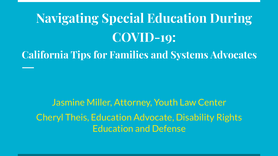# **Navigating Special Education During COVID-19:**

**California Tips for Families and Systems Advocates** 

Jasmine Miller, Attorney, Youth Law Center Cheryl Theis, Education Advocate, Disability Rights Education and Defense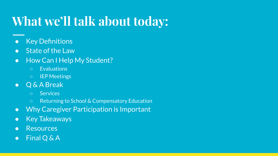## **What we'll talk about today:**

- Key Definitions
- State of the Law
- How Can I Help My Student?
	- Evaluations
	- IEP Meetings
- Q & A Break
	- Services
	- Returning to School & Compensatory Education
- Why Caregiver Participation is Important
- Key Takeaways
- Resources
- Final Q & A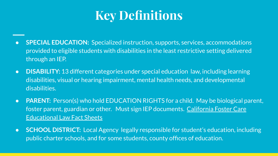#### **Key Definitions**

- **SPECIAL EDUCATION:** Specialized instruction, supports, services, accommodations provided to eligible students with disabilities in the least restrictive setting delivered through an IEP.
- **● DISABILITY:** 13 different categories under special education law, including learning disabilities, visual or hearing impairment, mental health needs, and developmental disabilities.
- **PARENT:** Person(s) who hold EDUCATION RIGHTS for a child. May be biological parent, foster parent, guardian or other. Must sign IEP documents. [California Foster Care](https://www.courts.ca.gov/documents/BTB_23_5O_11.pdf) [Educational Law Fact Sheets](https://www.courts.ca.gov/documents/BTB_23_5O_11.pdf)
- **SCHOOL DISTRICT:** Local Agency legally responsible for student's education, including public charter schools, and for some students, county offices of education.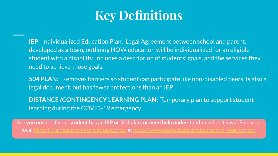#### **Key Definitions**

**IEP**: Individualized Education Plan: Legal Agreement between school and parent, developed as a team, outlining HOW education will be individualized for an eligible student with a disability. Includes a description of students' goals, and the services they need to achieve those goals.

**504 PLAN:** Removes barriers so student can participate like non-disabled peers. Is also a legal document, but has fewer protections than an IEP.

**DISTANCE /CONTINGENCY LEARNING PLAN:** Temporary plan to support student learning during the COVID-19 emergency

Are you unsure if your student has an IEP or 504 plan, or need help understanding what it says? Find your local [Parent Training and Information Center](https://www.parentcenterhub.org/find-your-center/) at<https://www.parentcenterhub.org/find-your-center/>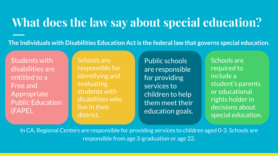#### **What does the law say about special education?**

**The Individuals with Disabilities Education Act is the federal law that governs special education.**

Students with disabilities are entitled to a Free and Appropriate Public Education (FAPE).

Schools are responsible for identifying and evaluating students with disabilities who live in their district.

Public schools are responsible for providing services to children to help them meet their education goals.

Schools are required to include a student's parents or educational rights holder in decisions about special education.

In CA, Regional Centers are responsible for providing services to children aged 0-3. Schools are responsible from age 3-graduation or age 22.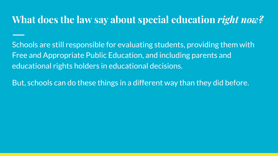#### **What does the law say about special education** *right now?*

Schools are still responsible for evaluating students, providing them with Free and Appropriate Public Education, and including parents and educational rights holders in educational decisions.

But, schools can do these things in a different way than they did before.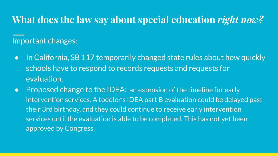#### **What does the law say about special education** *right now?*

Important changes:

- In California, SB 117 temporarily changed state rules about how quickly schools have to respond to records requests and requests for evaluation.
- Proposed change to the IDEA: an extension of the timeline for early intervention services. A toddler's IDEA part B evaluation could be delayed past their 3rd birthday, and they could continue to receive early intervention services until the evaluation is able to be completed. This has not yet been approved by Congress.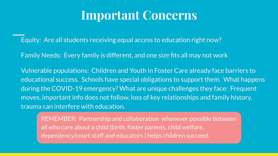#### **Important Concerns**

Equity: Are all students receiving equal access to education right now?

Family Needs: Every family is different, and one size fits all may not work

Vulnerable populations: Children and Youth in Foster Care already face barriers to educational success. Schools have special obligations to support them. What happens during the COVID-19 emergency? What are unique challenges they face: Frequent moves, important info does not follow, loss of key relationships and family history, trauma can interfere with education.

REMEMBER: Partnership and collaboration whenever possible between all who care about a child (birth, foster parents, child welfare, dependency/court staff and educators ) helps children succeed.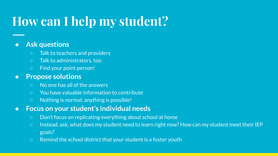### **How can I help my student?**

#### **● Ask questions**

- Talk to teachers and providers
- Talk to administrators, too
- Find your point person!

#### **● Propose solutions**

- No one has all of the answers
- You have valuable information to contribute
- Nothing is normal; anything is possible!
- **● Focus on your student's individual needs**
	- Don't focus on replicating everything about school at home
	- Instead, ask, what does my student need to learn right now? How can my student meet their IEP goals?
	- Remind the school district that your student is a foster youth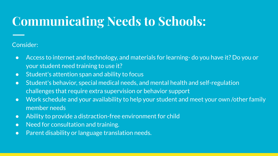### **Communicating Needs to Schools:**

#### Consider:

- Access to internet and technology, and materials for learning- do you have it? Do you or your student need training to use it?
- Student's attention span and ability to focus
- Student's behavior, special medical needs, and mental health and self-regulation challenges that require extra supervision or behavior support
- Work schedule and your availability to help your student and meet your own /other family member needs
- Ability to provide a distraction-free environment for child
- Need for consultation and training.
- Parent disability or language translation needs.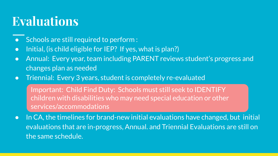### **Evaluations**

- Schools are still required to perform :
- Initial, (is child eligible for IEP? If yes, what is plan?)
- Annual: Every year, team including PARENT reviews student's progress and changes plan as needed
- Triennial: Every 3 years, student is completely re-evaluated

Important: Child Find Duty: Schools must still seek to IDENTIFY children with disabilities who may need special education or other services/accommodations

● In CA, the timelines for brand-new initial evaluations have changed, but initial evaluations that are in-progress, Annual. and Triennial Evaluations are still on the same schedule.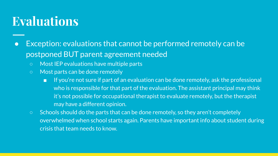### **Evaluations**

- Exception: evaluations that cannot be performed remotely can be postponed BUT parent agreement needed
	- Most IEP evaluations have multiple parts
	- Most parts can be done remotely
		- If you're not sure if part of an evaluation can be done remotely, ask the professional who is responsible for that part of the evaluation. The assistant principal may think it's not possible for occupational therapist to evaluate remotely, but the therapist may have a different opinion.
	- Schools should do the parts that can be done remotely, so they aren't completely overwhelmed when school starts again. Parents have important info about student during crisis that team needs to know.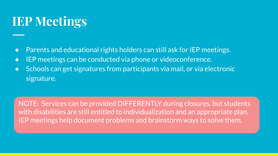### **IEP Meetings**

- Parents and educational rights holders can still ask for IEP meetings.
- IEP meetings can be conducted via phone or videoconference.
- Schools can get signatures from participants via mail, or via electronic signature.

NOTE: Services can be provided DIFFERENTLY during closures, but students with disabilities are still entitled to individualization and an appropriate plan. IEP meetings help document problems and brainstorm ways to solve them.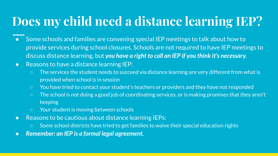### **Does my child need a distance learning IEP?**

- Some schools and families are convening special IEP meetings to talk about how to provide services during school closures. Schools are not required to have IEP meetings to discuss distance learning, but *you have a right to call an IEP if you think it's necessary.*
- Reasons to have a distance learning IEP:
	- The services the student needs to succeed via distance learning are very different from what is provided when school is in session
	- You have tried to contact your student's teachers or providers and they have not responded
	- The school is not doing a good job of coordinating services, or is making promises that they aren't keeping
	- Your student is moving between schools
- Reasons to be cautious about distance learning IEPs:
	- Some school districts have tried to get families to waive their special education rights
- *● Remember: an IEP is a formal legal agreement.*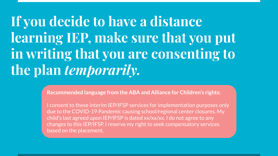# **If you decide to have a distance learning IEP, make sure that you put in writing that you are consenting to the plan** *temporarily.*

**Recommended language from the ABA and Alliance for Children's rights:**

I consent to these interim IEP/IFSP services for implementation purposes only due to the COVID-19 Pandemic causing school/regional center closures. My child's last agreed upon IEP/IFSP is dated xx/xx/xx. I do not agree to any changes to this IEP/IFSP. I reserve my right to seek compensatory services based on the placement.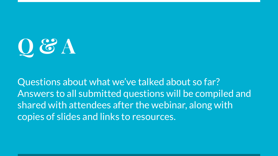**Q & A**

Questions about what we've talked about so far? Answers to all submitted questions will be compiled and shared with attendees after the webinar, along with copies of slides and links to resources.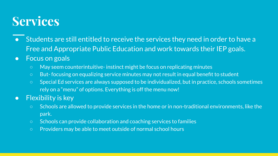#### **Services**

- Students are still entitled to receive the services they need in order to have a Free and Appropriate Public Education and work towards their IEP goals.
- **•** Focus on goals
	- May seem counterintuitive- instinct might be focus on replicating minutes
	- But- focusing on equalizing service minutes may not result in equal benefit to student
	- Special Ed services are always supposed to be individualized, but in practice, schools sometimes rely on a "menu" of options. Everything is off the menu now!
- Flexibility is key
	- Schools are allowed to provide services in the home or in non-traditional environments, like the park.
	- Schools can provide collaboration and coaching services to families
	- Providers may be able to meet outside of normal school hours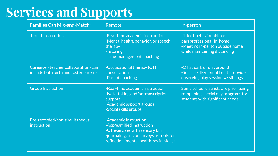### **Services and Supports**

| <b>Families Can Mix-and-Match:</b>                                           | Remote                                                                                                                                                                         | In-person                                                                                                               |
|------------------------------------------------------------------------------|--------------------------------------------------------------------------------------------------------------------------------------------------------------------------------|-------------------------------------------------------------------------------------------------------------------------|
| 1-on-1 instruction                                                           | -Real-time academic instruction<br>-Mental health, behavior, or speech<br>therapy<br>-Tutoring<br>-Time-management coaching                                                    | -1-to-1 behavior aide or<br>paraprofessional in-home<br>-Meeting in-person outside home<br>while maintaining distancing |
| Caregiver-teacher collaboration-can<br>include both birth and foster parents | -Occupational therapy (OT)<br>consultation<br>-Parent coaching                                                                                                                 | -OT at park or playground<br>-Social skills/mental health provider<br>observing play session w/siblings                 |
| <b>Group Instruction</b>                                                     | -Real-time academic instruction<br>-Note-taking and/or transcription<br>support<br>-Academic support groups<br>-Social skills groups                                           | Some school districts are prioritizing<br>re-opening special day programs for<br>students with significant needs        |
| Pre-recorded/non-simultaneous<br>instruction                                 | -Academic instruction<br>-App/gamified instruction<br>-OT exercises with sensory bin<br>-journaling, art, or surveys as tools for<br>reflection (mental health, social skills) |                                                                                                                         |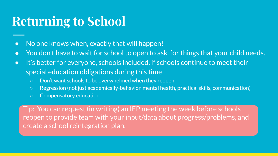#### **Returning to School**

- No one knows when, exactly that will happen!
- You don't have to wait for school to open to ask for things that your child needs.
- It's better for everyone, schools included, if schools continue to meet their special education obligations during this time
	- Don't want schools to be overwhelmed when they reopen
	- Regression (not just academically-behavior, mental health, practical skills, communication)
	- Compensatory education

Tip: You can request (in writing) an IEP meeting the week before schools reopen to provide team with your input/data about progress/problems, and create a school reintegration plan.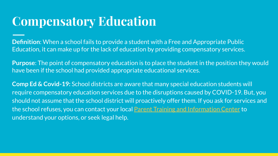#### **Compensatory Education**

**Definition**: When a school fails to provide a student with a Free and Appropriate Public Education, it can make up for the lack of education by providing compensatory services.

**Purpose**: The point of compensatory education is to place the student in the position they would have been if the school had provided appropriate educational services.

**Comp Ed & Covid-19:** School districts are aware that many special education students will require compensatory education services due to the disruptions caused by COVID-19. But, you should not assume that the school district will proactively offer them. If you ask for services and the school refuses, you can contact your local [Parent Training and Information Center](https://www.parentcenterhub.org/find-your-center/) to understand your options, or seek legal help.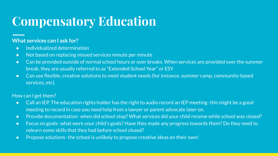### **Compensatory Education**

#### **What services can I ask for?**

- Individualized determination
- Not based on replacing missed services minute per minute
- Can be provided outside of normal school hours or over breaks. When services are provided over the summer break, they are usually referred to as "Extended School Year" or ESY
- Can use flexible, creative solutions to meet student needs (for instance, summer camp, community-based services, etc).

#### How can I get them?

- Call an IEP. The education rights holder has the right to audio record an IEP meeting- this might be a good meeting to record in case you need help from a lawyer or parent advocate later on.
- Provide documentation- when did school stop? What services did your child receive while school was closed?
- Focus on goals- what were your child's goals? Have they made any progress towards them? Do they need to relearn some skills that they had before school closed?
- Propose solutions- the school is unlikely to propose creative ideas on their own!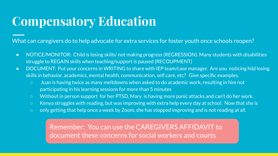### **Compensatory Education**

What can caregivers do to help advocate for extra services for foster youth once schools reopen?

- NOTICE/MONITOR: Child is losing skills/ not making progress (REGRESSION). Many students with disabilities struggle to REGAIN skills when teaching/support is paused (RECOUPMENT)
- DOCUMENT: Put your concerns in WRITING to share with IEP team/case manager. Are you noticing hild losing skills in behavior, academics, mental health, communication, self care, etc? Give specific examples.
	- Juan is having twice as many meltdowns when asked to do academic work, resulting in him not participating in his learning sessions for more than 5 minutes
	- Without in person support for her PTSD, Mary is having more panic attacks and can't do her work.
	- Kenya struggles with reading, but was improving with extra help every day at school. Now that she is
	- only getting that help once a week by Zoom, she has stopped improving and is not reading at all.

Remember: You can use the CAREGIVERS AFFIDAVIT to document these concerns for social workers and courts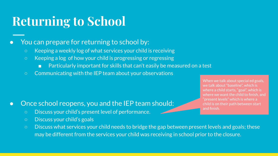#### **Returning to School**

#### You can prepare for returning to school by:

- Keeping a weekly log of what services your child is receiving
- Keeping a log of how your child is progressing or regressing
	- Particularly important for skills that can't easily be measured on a test
- Communicating with the IEP team about your observations

#### • Once school reopens, you and the IEP team should:

- Discuss your child's present level of performance.
- Discuss your child's goals
- Discuss what services your child needs to bridge the gap between present levels and goals; these may be different from the services your child was receiving in school prior to the closure.

When we talk about special ed goals, we talk about "baseline", which is where a child starts, "goal", which is where we want the child to finish, and "present levels" which is where a child is on their path between start and finish.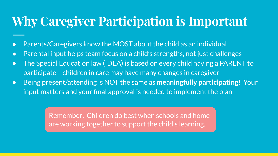### **Why Caregiver Participation is Important**

- Parents/Caregivers know the MOST about the child as an individual
- Parental input helps team focus on a child's strengths, not just challenges
- The Special Education law (IDEA) is based on every child having a PARENT to participate --children in care may have many changes in caregiver
- Being present/attending is NOT the same as **meaningfully participating**! Your input matters and your final approval is needed to implement the plan

Remember: Children do best when schools and home are working together to support the child's learning.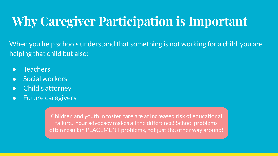### **Why Caregiver Participation is Important**

When you help schools understand that something is not working for a child, you are helping that child but also:

- Teachers
- Social workers
- Child's attorney
- Future caregivers

Children and youth in foster care are at increased risk of educational failure. Your advocacy makes all the difference! School problems often result in PLACEMENT problems, not just the other way around!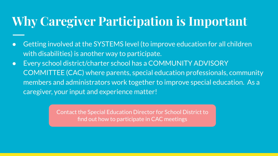### **Why Caregiver Participation is Important**

- Getting involved at the SYSTEMS level (to improve education for all children with disabilities) is another way to participate.
- Every school district/charter school has a COMMUNITY ADVISORY COMMITTEE (CAC) where parents, special education professionals, community members and administrators work together to improve special education. As a caregiver, your input and experience matter!

Contact the Special Education Director for School District to find out how to participate in CAC meetings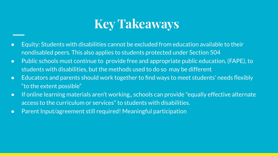#### **Key Takeaways**

- Equity: Students with disabilities cannot be excluded from education available to their nondisabled peers. This also applies to students protected under Section 504
- Public schools must continue to provide free and appropriate public education, (FAPE), to students with disabilities, but the methods used to do so may be different
- Educators and parents should work together to find ways to meet students' needs flexibly "to the extent possible"
- If online learning materials aren't working,, schools can provide "equally effective alternate access to the curriculum or services" to students with disabilities.
- Parent Input/agreement still required! Meaningful participation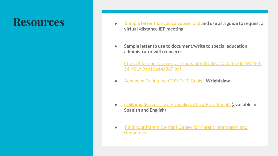- **Resources •** [Sample letter that you can download](https://dredf.org/wp-content/uploads/2020/04/Virtual-IEP-MEETING-REQUEST.docx) and use as a guide to request a **virtual /distance IEP meeting**
	- **● Sample letter to use to document/write to special education administrator with concerns:**

[https://files.constantcontact.com/aa0639b6001/02a47e06-6976-4f](https://files.constantcontact.com/aa0639b6001/02a47e06-6976-4f54-961f-9eb16a44a867.pdf) [54-961f-9eb16a44a867.pdf](https://files.constantcontact.com/aa0639b6001/02a47e06-6976-4f54-961f-9eb16a44a867.pdf)

**●** [Advocacy During the COVID-19 Crisis:](https://www.wrightslaw.com/nltr/20/nl.0417.htm) **Wrightslaw**

- [California Foster Care Educational Law Fact Sheets](https://www.courts.ca.gov/documents/BTB_23_5O_11.pdf) **(available in Spanish and English)**
- [Find Your Parent Center | Center for Parent Information and](https://www.parentcenterhub.org/find-your-center/) **[Resources](https://www.parentcenterhub.org/find-your-center/)**